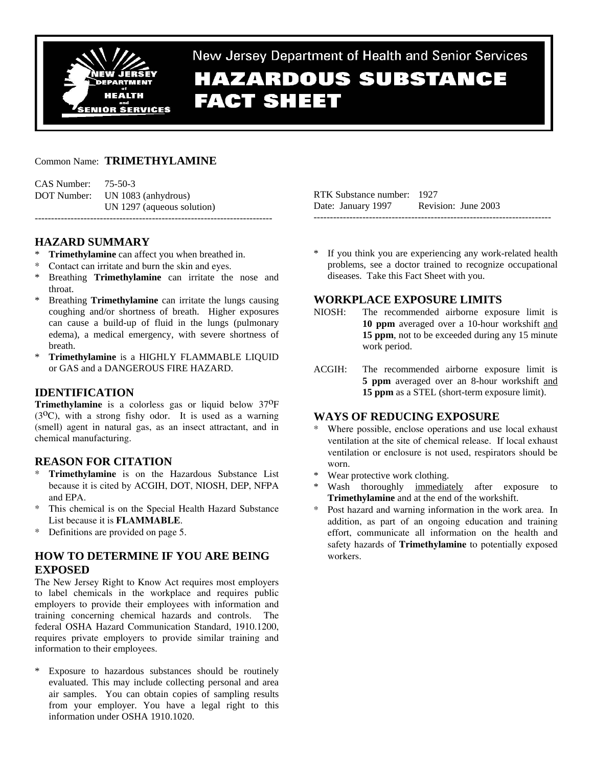

New Jersey Department of Health and Senior Services **HAZARDOUS SUBSTANCE FACT SHEET** 

## Common Name: **TRIMETHYLAMINE**

| CAS Number: | 75-50-3                         |
|-------------|---------------------------------|
|             | DOT Number: UN 1083 (anhydrous) |
|             | UN 1297 (aqueous solution)      |
|             |                                 |

## **HAZARD SUMMARY**

- **Trimethylamine** can affect you when breathed in.
- Contact can irritate and burn the skin and eyes.
- Breathing **Trimethylamine** can irritate the nose and throat.
- \* Breathing **Trimethylamine** can irritate the lungs causing coughing and/or shortness of breath. Higher exposures can cause a build-up of fluid in the lungs (pulmonary edema), a medical emergency, with severe shortness of breath.
- \* **Trimethylamine** is a HIGHLY FLAMMABLE LIQUID or GAS and a DANGEROUS FIRE HAZARD.

# **IDENTIFICATION**

**Trimethylamine** is a colorless gas or liquid below 37<sup>O</sup>F  $(3^{0}C)$ , with a strong fishy odor. It is used as a warning (smell) agent in natural gas, as an insect attractant, and in chemical manufacturing.

## **REASON FOR CITATION**

- \* **Trimethylamine** is on the Hazardous Substance List because it is cited by ACGIH, DOT, NIOSH, DEP, NFPA and EPA.
- This chemical is on the Special Health Hazard Substance List because it is **FLAMMABLE**.
- \* Definitions are provided on page 5.

# **HOW TO DETERMINE IF YOU ARE BEING EXPOSED**

The New Jersey Right to Know Act requires most employers to label chemicals in the workplace and requires public employers to provide their employees with information and training concerning chemical hazards and controls. The federal OSHA Hazard Communication Standard, 1910.1200, requires private employers to provide similar training and information to their employees.

\* Exposure to hazardous substances should be routinely evaluated. This may include collecting personal and area air samples. You can obtain copies of sampling results from your employer. You have a legal right to this information under OSHA 1910.1020.

| RTK Substance number: 1927 |                     |
|----------------------------|---------------------|
| Date: January 1997         | Revision: June 2003 |
|                            |                     |

\* If you think you are experiencing any work-related health problems, see a doctor trained to recognize occupational diseases. Take this Fact Sheet with you.

## **WORKPLACE EXPOSURE LIMITS**

- NIOSH: The recommended airborne exposure limit is **10 ppm** averaged over a 10-hour workshift and **15 ppm**, not to be exceeded during any 15 minute work period.
- ACGIH: The recommended airborne exposure limit is **5 ppm** averaged over an 8-hour workshift and **15 ppm** as a STEL (short-term exposure limit).

## **WAYS OF REDUCING EXPOSURE**

- Where possible, enclose operations and use local exhaust ventilation at the site of chemical release. If local exhaust ventilation or enclosure is not used, respirators should be worn.
- \* Wear protective work clothing.
- Wash thoroughly immediately after exposure to **Trimethylamine** and at the end of the workshift.
- Post hazard and warning information in the work area. In addition, as part of an ongoing education and training effort, communicate all information on the health and safety hazards of **Trimethylamine** to potentially exposed workers.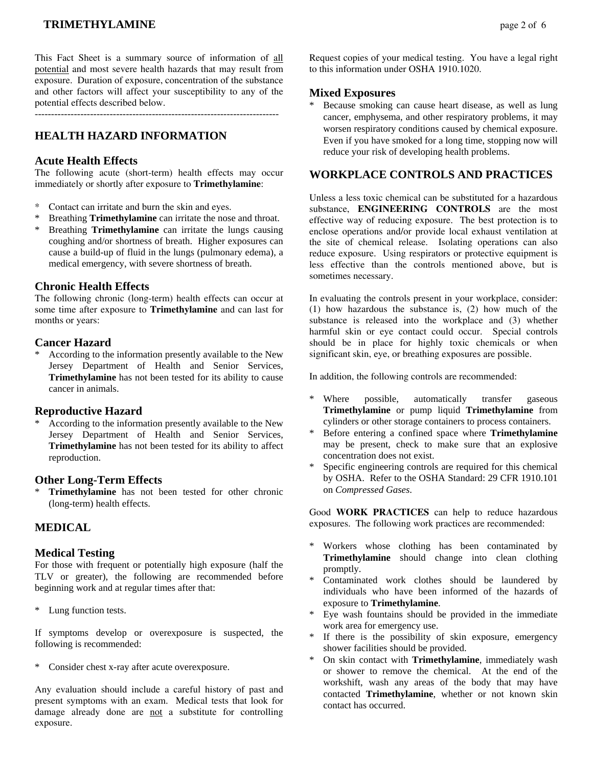# **TRIMETHYLAMINE** page 2 of 6

This Fact Sheet is a summary source of information of all potential and most severe health hazards that may result from exposure. Duration of exposure, concentration of the substance and other factors will affect your susceptibility to any of the potential effects described below.

 $-$ 

# **HEALTH HAZARD INFORMATION**

### **Acute Health Effects**

The following acute (short-term) health effects may occur immediately or shortly after exposure to **Trimethylamine**:

- Contact can irritate and burn the skin and eyes.
- \* Breathing **Trimethylamine** can irritate the nose and throat.
- Breathing **Trimethylamine** can irritate the lungs causing coughing and/or shortness of breath. Higher exposures can cause a build-up of fluid in the lungs (pulmonary edema), a medical emergency, with severe shortness of breath.

### **Chronic Health Effects**

The following chronic (long-term) health effects can occur at some time after exposure to **Trimethylamine** and can last for months or years:

### **Cancer Hazard**

\* According to the information presently available to the New Jersey Department of Health and Senior Services, **Trimethylamine** has not been tested for its ability to cause cancer in animals.

### **Reproductive Hazard**

According to the information presently available to the New Jersey Department of Health and Senior Services, **Trimethylamine** has not been tested for its ability to affect reproduction.

#### **Other Long-Term Effects**

\* **Trimethylamine** has not been tested for other chronic (long-term) health effects.

# **MEDICAL**

#### **Medical Testing**

For those with frequent or potentially high exposure (half the TLV or greater), the following are recommended before beginning work and at regular times after that:

\* Lung function tests.

If symptoms develop or overexposure is suspected, the following is recommended:

\* Consider chest x-ray after acute overexposure.

Any evaluation should include a careful history of past and present symptoms with an exam. Medical tests that look for damage already done are not a substitute for controlling exposure.

Request copies of your medical testing. You have a legal right to this information under OSHA 1910.1020.

### **Mixed Exposures**

Because smoking can cause heart disease, as well as lung cancer, emphysema, and other respiratory problems, it may worsen respiratory conditions caused by chemical exposure. Even if you have smoked for a long time, stopping now will reduce your risk of developing health problems.

### **WORKPLACE CONTROLS AND PRACTICES**

Unless a less toxic chemical can be substituted for a hazardous substance, **ENGINEERING CONTROLS** are the most effective way of reducing exposure. The best protection is to enclose operations and/or provide local exhaust ventilation at the site of chemical release. Isolating operations can also reduce exposure. Using respirators or protective equipment is less effective than the controls mentioned above, but is sometimes necessary.

In evaluating the controls present in your workplace, consider: (1) how hazardous the substance is, (2) how much of the substance is released into the workplace and (3) whether harmful skin or eye contact could occur. Special controls should be in place for highly toxic chemicals or when significant skin, eye, or breathing exposures are possible.

In addition, the following controls are recommended:

- \* Where possible, automatically transfer gaseous **Trimethylamine** or pump liquid **Trimethylamine** from cylinders or other storage containers to process containers.
- \* Before entering a confined space where **Trimethylamine** may be present, check to make sure that an explosive concentration does not exist.
- Specific engineering controls are required for this chemical by OSHA. Refer to the OSHA Standard: 29 CFR 1910.101 on *Compressed Gases*.

Good **WORK PRACTICES** can help to reduce hazardous exposures. The following work practices are recommended:

- \* Workers whose clothing has been contaminated by **Trimethylamine** should change into clean clothing promptly.
- Contaminated work clothes should be laundered by individuals who have been informed of the hazards of exposure to **Trimethylamine**.
- Eye wash fountains should be provided in the immediate work area for emergency use.
- \* If there is the possibility of skin exposure, emergency shower facilities should be provided.
- \* On skin contact with **Trimethylamine**, immediately wash or shower to remove the chemical. At the end of the workshift, wash any areas of the body that may have contacted **Trimethylamine**, whether or not known skin contact has occurred.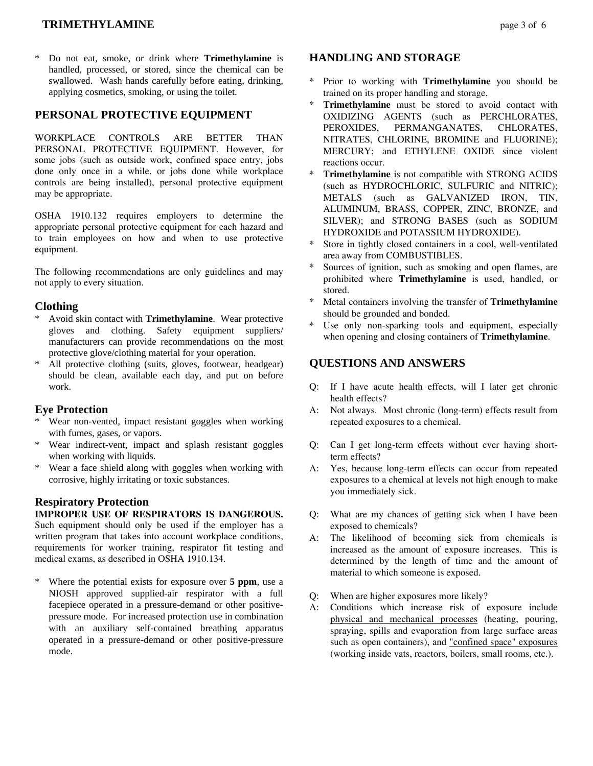# **TRIMETHYLAMINE page 3 of 6**

Do not eat, smoke, or drink where **Trimethylamine** is handled, processed, or stored, since the chemical can be swallowed. Wash hands carefully before eating, drinking, applying cosmetics, smoking, or using the toilet.

## **PERSONAL PROTECTIVE EQUIPMENT**

WORKPLACE CONTROLS ARE BETTER THAN PERSONAL PROTECTIVE EQUIPMENT. However, for some jobs (such as outside work, confined space entry, jobs done only once in a while, or jobs done while workplace controls are being installed), personal protective equipment may be appropriate.

OSHA 1910.132 requires employers to determine the appropriate personal protective equipment for each hazard and to train employees on how and when to use protective equipment.

The following recommendations are only guidelines and may not apply to every situation.

### **Clothing**

- \* Avoid skin contact with **Trimethylamine**. Wear protective gloves and clothing. Safety equipment suppliers/ manufacturers can provide recommendations on the most protective glove/clothing material for your operation.
- All protective clothing (suits, gloves, footwear, headgear) should be clean, available each day, and put on before work.

## **Eye Protection**

- \* Wear non-vented, impact resistant goggles when working with fumes, gases, or vapors.
- \* Wear indirect-vent, impact and splash resistant goggles when working with liquids.
- Wear a face shield along with goggles when working with corrosive, highly irritating or toxic substances.

# **Respiratory Protection**

# **IMPROPER USE OF RESPIRATORS IS DANGEROUS.**

Such equipment should only be used if the employer has a written program that takes into account workplace conditions, requirements for worker training, respirator fit testing and medical exams, as described in OSHA 1910.134.

Where the potential exists for exposure over **5 ppm**, use a NIOSH approved supplied-air respirator with a full facepiece operated in a pressure-demand or other positivepressure mode. For increased protection use in combination with an auxiliary self-contained breathing apparatus operated in a pressure-demand or other positive-pressure mode.

# **HANDLING AND STORAGE**

- \* Prior to working with **Trimethylamine** you should be trained on its proper handling and storage.
- \* **Trimethylamine** must be stored to avoid contact with OXIDIZING AGENTS (such as PERCHLORATES, PEROXIDES, PERMANGANATES, CHLORATES, NITRATES, CHLORINE, BROMINE and FLUORINE); MERCURY; and ETHYLENE OXIDE since violent reactions occur.
- \* **Trimethylamine** is not compatible with STRONG ACIDS (such as HYDROCHLORIC, SULFURIC and NITRIC); METALS (such as GALVANIZED IRON, TIN, ALUMINUM, BRASS, COPPER, ZINC, BRONZE, and SILVER); and STRONG BASES (such as SODIUM HYDROXIDE and POTASSIUM HYDROXIDE).
- Store in tightly closed containers in a cool, well-ventilated area away from COMBUSTIBLES.
- Sources of ignition, such as smoking and open flames, are prohibited where **Trimethylamine** is used, handled, or stored.
- Metal containers involving the transfer of **Trimethylamine** should be grounded and bonded.
- Use only non-sparking tools and equipment, especially when opening and closing containers of **Trimethylamine**.

# **QUESTIONS AND ANSWERS**

- Q: If I have acute health effects, will I later get chronic health effects?
- A: Not always. Most chronic (long-term) effects result from repeated exposures to a chemical.
- Q: Can I get long-term effects without ever having shortterm effects?
- A: Yes, because long-term effects can occur from repeated exposures to a chemical at levels not high enough to make you immediately sick.
- Q: What are my chances of getting sick when I have been exposed to chemicals?
- A: The likelihood of becoming sick from chemicals is increased as the amount of exposure increases. This is determined by the length of time and the amount of material to which someone is exposed.
- Q: When are higher exposures more likely?
- A: Conditions which increase risk of exposure include physical and mechanical processes (heating, pouring, spraying, spills and evaporation from large surface areas such as open containers), and "confined space" exposures (working inside vats, reactors, boilers, small rooms, etc.).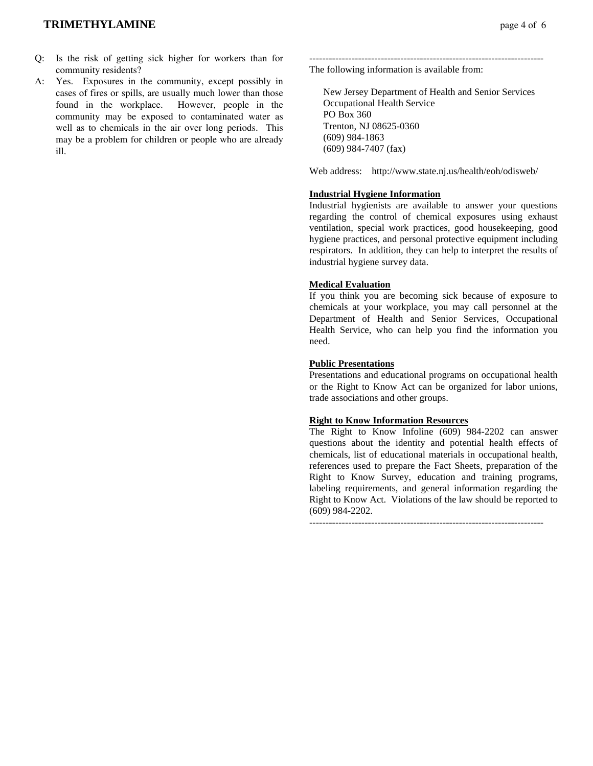## **TRIMETHYLAMINE page 4 of 6**

- Q: Is the risk of getting sick higher for workers than for community residents?
- A: Yes. Exposures in the community, except possibly in cases of fires or spills, are usually much lower than those found in the workplace. However, people in the community may be exposed to contaminated water as well as to chemicals in the air over long periods. This may be a problem for children or people who are already ill.

------------------------------------------------------------------------ The following information is available from:

 New Jersey Department of Health and Senior Services Occupational Health Service PO Box 360 Trenton, NJ 08625-0360 (609) 984-1863 (609) 984-7407 (fax)

Web address: http://www.state.nj.us/health/eoh/odisweb/

## **Industrial Hygiene Information**

Industrial hygienists are available to answer your questions regarding the control of chemical exposures using exhaust ventilation, special work practices, good housekeeping, good hygiene practices, and personal protective equipment including respirators. In addition, they can help to interpret the results of industrial hygiene survey data.

### **Medical Evaluation**

If you think you are becoming sick because of exposure to chemicals at your workplace, you may call personnel at the Department of Health and Senior Services, Occupational Health Service, who can help you find the information you need.

### **Public Presentations**

Presentations and educational programs on occupational health or the Right to Know Act can be organized for labor unions, trade associations and other groups.

### **Right to Know Information Resources**

The Right to Know Infoline (609) 984-2202 can answer questions about the identity and potential health effects of chemicals, list of educational materials in occupational health, references used to prepare the Fact Sheets, preparation of the Right to Know Survey, education and training programs, labeling requirements, and general information regarding the Right to Know Act. Violations of the law should be reported to (609) 984-2202.

 $-$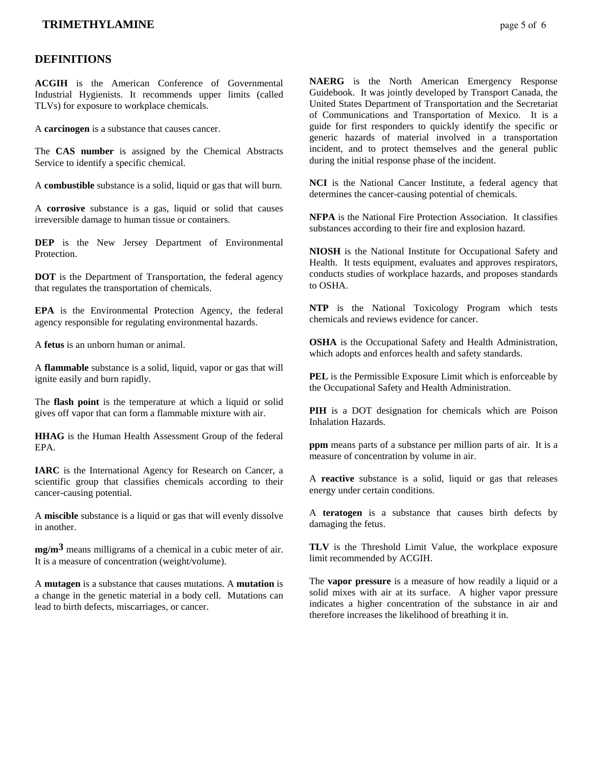## **TRIMETHYLAMINE page 5 of 6**

### **DEFINITIONS**

**ACGIH** is the American Conference of Governmental Industrial Hygienists. It recommends upper limits (called TLVs) for exposure to workplace chemicals.

A **carcinogen** is a substance that causes cancer.

The **CAS number** is assigned by the Chemical Abstracts Service to identify a specific chemical.

A **combustible** substance is a solid, liquid or gas that will burn.

A **corrosive** substance is a gas, liquid or solid that causes irreversible damage to human tissue or containers.

**DEP** is the New Jersey Department of Environmental **Protection** 

**DOT** is the Department of Transportation, the federal agency that regulates the transportation of chemicals.

**EPA** is the Environmental Protection Agency, the federal agency responsible for regulating environmental hazards.

A **fetus** is an unborn human or animal.

A **flammable** substance is a solid, liquid, vapor or gas that will ignite easily and burn rapidly.

The **flash point** is the temperature at which a liquid or solid gives off vapor that can form a flammable mixture with air.

**HHAG** is the Human Health Assessment Group of the federal EPA.

**IARC** is the International Agency for Research on Cancer, a scientific group that classifies chemicals according to their cancer-causing potential.

A **miscible** substance is a liquid or gas that will evenly dissolve in another.

**mg/m3** means milligrams of a chemical in a cubic meter of air. It is a measure of concentration (weight/volume).

A **mutagen** is a substance that causes mutations. A **mutation** is a change in the genetic material in a body cell. Mutations can lead to birth defects, miscarriages, or cancer.

**NAERG** is the North American Emergency Response Guidebook. It was jointly developed by Transport Canada, the United States Department of Transportation and the Secretariat of Communications and Transportation of Mexico. It is a guide for first responders to quickly identify the specific or generic hazards of material involved in a transportation incident, and to protect themselves and the general public during the initial response phase of the incident.

**NCI** is the National Cancer Institute, a federal agency that determines the cancer-causing potential of chemicals.

**NFPA** is the National Fire Protection Association. It classifies substances according to their fire and explosion hazard.

**NIOSH** is the National Institute for Occupational Safety and Health. It tests equipment, evaluates and approves respirators, conducts studies of workplace hazards, and proposes standards to OSHA.

**NTP** is the National Toxicology Program which tests chemicals and reviews evidence for cancer.

**OSHA** is the Occupational Safety and Health Administration, which adopts and enforces health and safety standards.

**PEL** is the Permissible Exposure Limit which is enforceable by the Occupational Safety and Health Administration.

**PIH** is a DOT designation for chemicals which are Poison Inhalation Hazards.

**ppm** means parts of a substance per million parts of air. It is a measure of concentration by volume in air.

A **reactive** substance is a solid, liquid or gas that releases energy under certain conditions.

A **teratogen** is a substance that causes birth defects by damaging the fetus.

**TLV** is the Threshold Limit Value, the workplace exposure limit recommended by ACGIH.

The **vapor pressure** is a measure of how readily a liquid or a solid mixes with air at its surface. A higher vapor pressure indicates a higher concentration of the substance in air and therefore increases the likelihood of breathing it in.